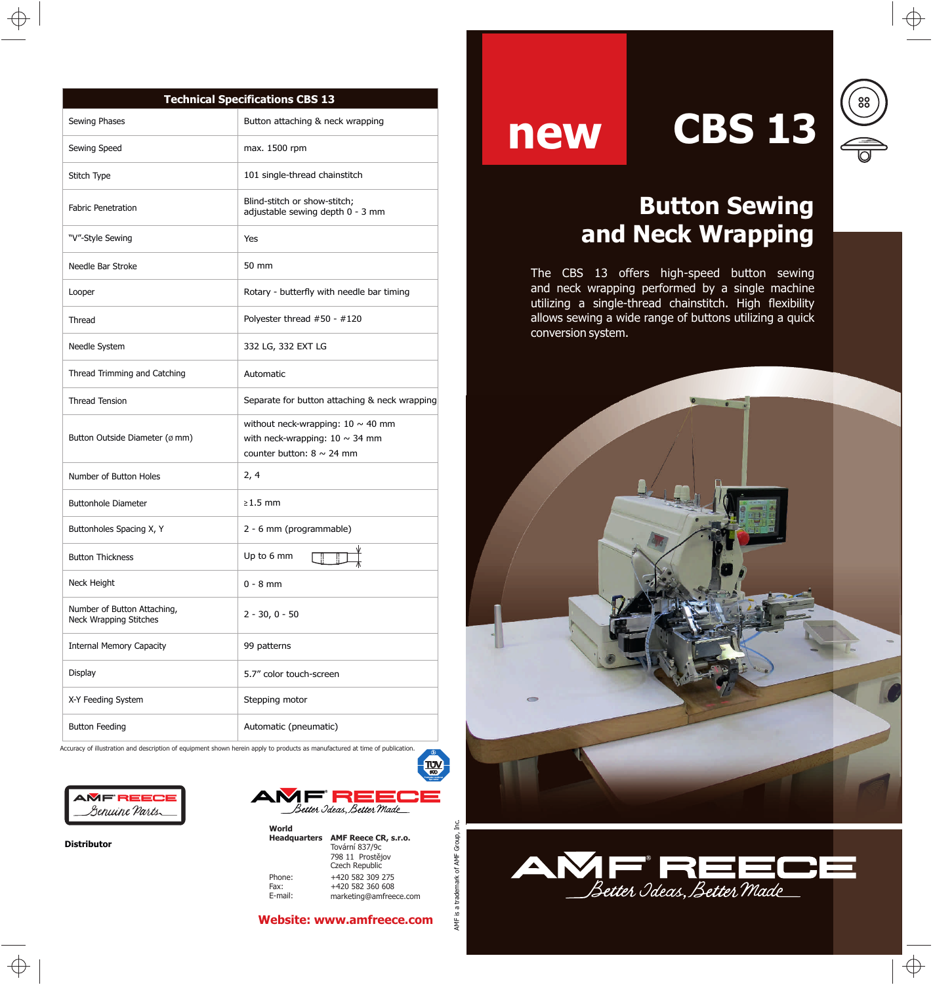| <b>Technical Specifications CBS 13</b>                       |                                                                                                                 |
|--------------------------------------------------------------|-----------------------------------------------------------------------------------------------------------------|
| Sewing Phases                                                | Button attaching & neck wrapping                                                                                |
| Sewing Speed                                                 | max. 1500 rpm                                                                                                   |
| Stitch Type                                                  | 101 single-thread chainstitch                                                                                   |
| <b>Fabric Penetration</b>                                    | Blind-stitch or show-stitch;<br>adjustable sewing depth 0 - 3 mm                                                |
| "V"-Style Sewing                                             | Yes                                                                                                             |
| Needle Bar Stroke                                            | 50 mm                                                                                                           |
| Looper                                                       | Rotary - butterfly with needle bar timing                                                                       |
| Thread                                                       | Polyester thread #50 - #120                                                                                     |
| Needle System                                                | 332 LG, 332 EXT LG                                                                                              |
| Thread Trimming and Catching                                 | Automatic                                                                                                       |
| <b>Thread Tension</b>                                        | Separate for button attaching & neck wrapping                                                                   |
| Button Outside Diameter (ø mm)                               | without neck-wrapping: $10 \sim 40$ mm<br>with neck-wrapping: $10 \sim 34$ mm<br>counter button: $8 \sim 24$ mm |
| Number of Button Holes                                       | 2, 4                                                                                                            |
| <b>Buttonhole Diameter</b>                                   | $\geq$ 1.5 mm                                                                                                   |
| Buttonholes Spacing X, Y                                     | 2 - 6 mm (programmable)                                                                                         |
| <b>Button Thickness</b>                                      | Up to 6 mm                                                                                                      |
| Neck Height                                                  | $0 - 8$ mm                                                                                                      |
| Number of Button Attaching,<br><b>Neck Wrapping Stitches</b> | $2 - 30, 0 - 50$                                                                                                |
| <b>Internal Memory Capacity</b>                              | 99 patterns                                                                                                     |
| Display                                                      | 5.7" color touch-screen                                                                                         |
| X-Y Feeding System                                           | Stepping motor                                                                                                  |
| <b>Button Feeding</b>                                        | Automatic (pneumatic)                                                                                           |

Accuracy of illustration and description of equipment shown herein apply to products as manufactured at time of publication.



**Distributor**



**World Headquarters AMF Reece CR, s.r.o.** Phone: Tovární 837/9c 798 11 Prostějov

Fax: E-mail:

 +420 582 360 608 +420 582 309 275 marketing@amfreece.com Czech Republic

TUV<br>80D

# **new CBS 13**

## $\begin{pmatrix} 88 \\ 80 \end{pmatrix}$  $\frac{1}{\sqrt{2}}$

## **Button Sewing and Neck Wrapping**

The CBS 13 offers high-speed button sewing and neck wrapping performed by a single machine utilizing a single-thread chainstitch. High flexibility allows sewing a wide range of buttons utilizing a quick conversion system.